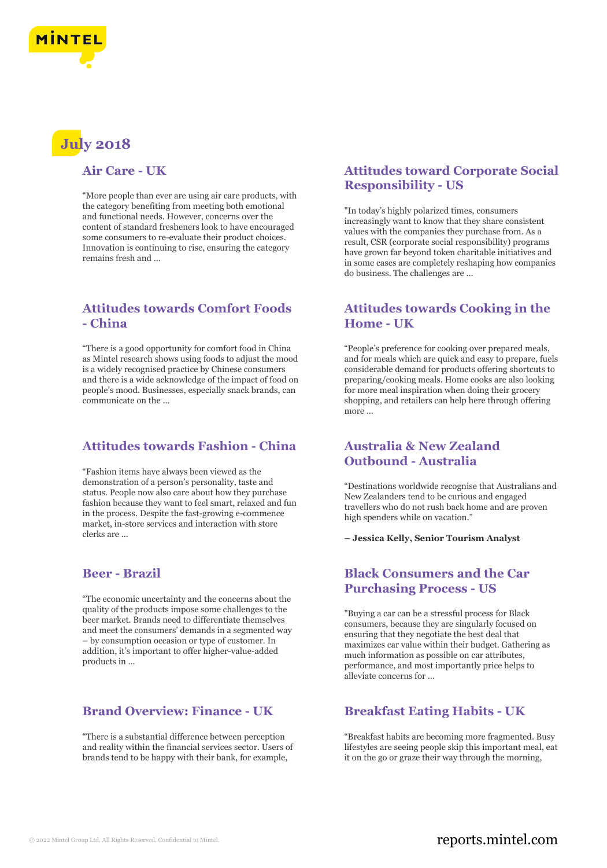

# **July 2018**

#### **Air Care - UK**

"More people than ever are using air care products, with the category benefiting from meeting both emotional and functional needs. However, concerns over the content of standard fresheners look to have encouraged some consumers to re-evaluate their product choices. Innovation is continuing to rise, ensuring the category remains fresh and ...

## **Attitudes towards Comfort Foods - China**

"There is a good opportunity for comfort food in China as Mintel research shows using foods to adjust the mood is a widely recognised practice by Chinese consumers and there is a wide acknowledge of the impact of food on people's mood. Businesses, especially snack brands, can communicate on the ...

## **Attitudes towards Fashion - China**

"Fashion items have always been viewed as the demonstration of a person's personality, taste and status. People now also care about how they purchase fashion because they want to feel smart, relaxed and fun in the process. Despite the fast-growing e-commence market, in-store services and interaction with store clerks are ...

### **Beer - Brazil**

"The economic uncertainty and the concerns about the quality of the products impose some challenges to the beer market. Brands need to differentiate themselves and meet the consumers' demands in a segmented way – by consumption occasion or type of customer. In addition, it's important to offer higher-value-added products in ...

## **Brand Overview: Finance - UK**

"There is a substantial difference between perception and reality within the financial services sector. Users of brands tend to be happy with their bank, for example,

## **Attitudes toward Corporate Social Responsibility - US**

"In today's highly polarized times, consumers increasingly want to know that they share consistent values with the companies they purchase from. As a result, CSR (corporate social responsibility) programs have grown far beyond token charitable initiatives and in some cases are completely reshaping how companies do business. The challenges are ...

## **Attitudes towards Cooking in the Home - UK**

"People's preference for cooking over prepared meals, and for meals which are quick and easy to prepare, fuels considerable demand for products offering shortcuts to preparing/cooking meals. Home cooks are also looking for more meal inspiration when doing their grocery shopping, and retailers can help here through offering more ...

## **Australia & New Zealand Outbound - Australia**

"Destinations worldwide recognise that Australians and New Zealanders tend to be curious and engaged travellers who do not rush back home and are proven high spenders while on vacation."

**– Jessica Kelly, Senior Tourism Analyst**

## **Black Consumers and the Car Purchasing Process - US**

"Buying a car can be a stressful process for Black consumers, because they are singularly focused on ensuring that they negotiate the best deal that maximizes car value within their budget. Gathering as much information as possible on car attributes, performance, and most importantly price helps to alleviate concerns for ...

### **Breakfast Eating Habits - UK**

"Breakfast habits are becoming more fragmented. Busy lifestyles are seeing people skip this important meal, eat it on the go or graze their way through the morning,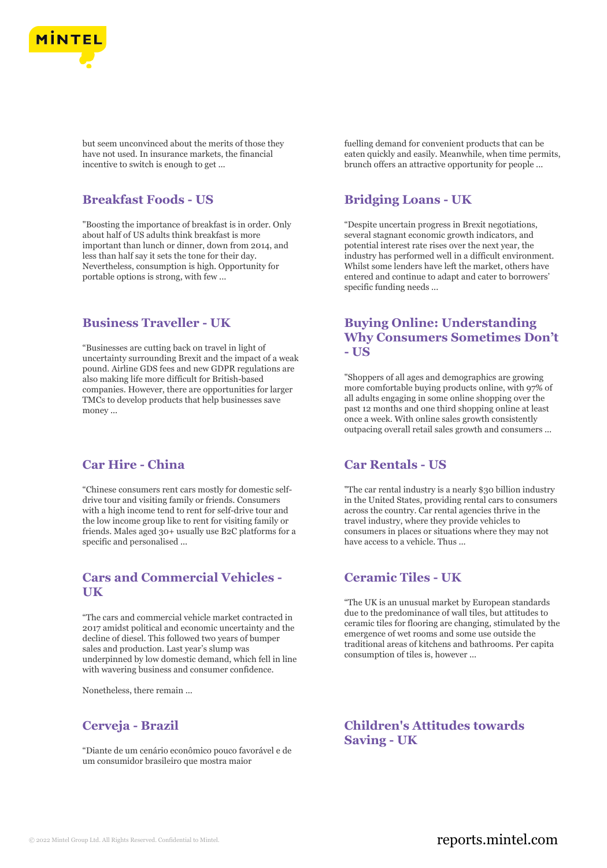

but seem unconvinced about the merits of those they have not used. In insurance markets, the financial incentive to switch is enough to get ...

#### **Breakfast Foods - US**

"Boosting the importance of breakfast is in order. Only about half of US adults think breakfast is more important than lunch or dinner, down from 2014, and less than half say it sets the tone for their day. Nevertheless, consumption is high. Opportunity for portable options is strong, with few ...

#### **Business Traveller - UK**

"Businesses are cutting back on travel in light of uncertainty surrounding Brexit and the impact of a weak pound. Airline GDS fees and new GDPR regulations are also making life more difficult for British-based companies. However, there are opportunities for larger TMCs to develop products that help businesses save money ...

## **Car Hire - China**

"Chinese consumers rent cars mostly for domestic selfdrive tour and visiting family or friends. Consumers with a high income tend to rent for self-drive tour and the low income group like to rent for visiting family or friends. Males aged 30+ usually use B2C platforms for a specific and personalised ...

## **Cars and Commercial Vehicles - UK**

"The cars and commercial vehicle market contracted in 2017 amidst political and economic uncertainty and the decline of diesel. This followed two years of bumper sales and production. Last year's slump was underpinned by low domestic demand, which fell in line with wavering business and consumer confidence.

Nonetheless, there remain ...

### **Cerveja - Brazil**

"Diante de um cenário econômico pouco favorável e de um consumidor brasileiro que mostra maior

fuelling demand for convenient products that can be eaten quickly and easily. Meanwhile, when time permits, brunch offers an attractive opportunity for people ...

## **Bridging Loans - UK**

"Despite uncertain progress in Brexit negotiations, several stagnant economic growth indicators, and potential interest rate rises over the next year, the industry has performed well in a difficult environment. Whilst some lenders have left the market, others have entered and continue to adapt and cater to borrowers' specific funding needs ...

## **Buying Online: Understanding Why Consumers Sometimes Don't - US**

"Shoppers of all ages and demographics are growing more comfortable buying products online, with 97% of all adults engaging in some online shopping over the past 12 months and one third shopping online at least once a week. With online sales growth consistently outpacing overall retail sales growth and consumers ...

#### **Car Rentals - US**

"The car rental industry is a nearly \$30 billion industry in the United States, providing rental cars to consumers across the country. Car rental agencies thrive in the travel industry, where they provide vehicles to consumers in places or situations where they may not have access to a vehicle. Thus ...

## **Ceramic Tiles - UK**

"The UK is an unusual market by European standards due to the predominance of wall tiles, but attitudes to ceramic tiles for flooring are changing, stimulated by the emergence of wet rooms and some use outside the traditional areas of kitchens and bathrooms. Per capita consumption of tiles is, however ...

## **Children's Attitudes towards Saving - UK**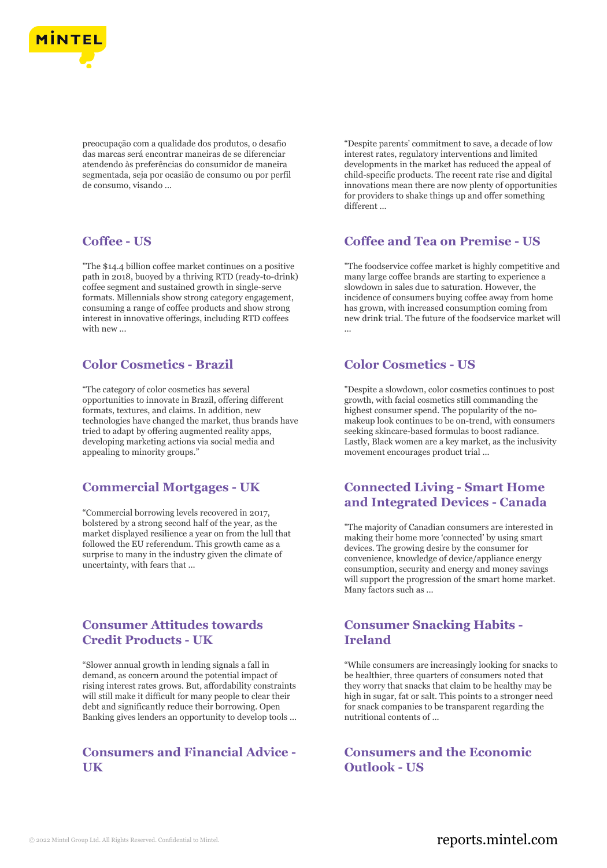

preocupação com a qualidade dos produtos, o desafio das marcas será encontrar maneiras de se diferenciar atendendo às preferências do consumidor de maneira segmentada, seja por ocasião de consumo ou por perfil de consumo, visando ...

#### **Coffee - US**

"The \$14.4 billion coffee market continues on a positive path in 2018, buoyed by a thriving RTD (ready-to-drink) coffee segment and sustained growth in single-serve formats. Millennials show strong category engagement, consuming a range of coffee products and show strong interest in innovative offerings, including RTD coffees with new ...

## **Color Cosmetics - Brazil**

"The category of color cosmetics has several opportunities to innovate in Brazil, offering different formats, textures, and claims. In addition, new technologies have changed the market, thus brands have tried to adapt by offering augmented reality apps, developing marketing actions via social media and appealing to minority groups."

### **Commercial Mortgages - UK**

"Commercial borrowing levels recovered in 2017, bolstered by a strong second half of the year, as the market displayed resilience a year on from the lull that followed the EU referendum. This growth came as a surprise to many in the industry given the climate of uncertainty, with fears that ...

## **Consumer Attitudes towards Credit Products - UK**

"Slower annual growth in lending signals a fall in demand, as concern around the potential impact of rising interest rates grows. But, affordability constraints will still make it difficult for many people to clear their debt and significantly reduce their borrowing. Open Banking gives lenders an opportunity to develop tools ...

## **Consumers and Financial Advice - UK**

"Despite parents' commitment to save, a decade of low interest rates, regulatory interventions and limited developments in the market has reduced the appeal of child-specific products. The recent rate rise and digital innovations mean there are now plenty of opportunities for providers to shake things up and offer something different

### **Coffee and Tea on Premise - US**

"The foodservice coffee market is highly competitive and many large coffee brands are starting to experience a slowdown in sales due to saturation. However, the incidence of consumers buying coffee away from home has grown, with increased consumption coming from new drink trial. The future of the foodservice market will ...

## **Color Cosmetics - US**

"Despite a slowdown, color cosmetics continues to post growth, with facial cosmetics still commanding the highest consumer spend. The popularity of the nomakeup look continues to be on-trend, with consumers seeking skincare-based formulas to boost radiance. Lastly, Black women are a key market, as the inclusivity movement encourages product trial ...

## **Connected Living - Smart Home and Integrated Devices - Canada**

"The majority of Canadian consumers are interested in making their home more 'connected' by using smart devices. The growing desire by the consumer for convenience, knowledge of device/appliance energy consumption, security and energy and money savings will support the progression of the smart home market. Many factors such as ...

## **Consumer Snacking Habits - Ireland**

"While consumers are increasingly looking for snacks to be healthier, three quarters of consumers noted that they worry that snacks that claim to be healthy may be high in sugar, fat or salt. This points to a stronger need for snack companies to be transparent regarding the nutritional contents of ...

**Consumers and the Economic Outlook - US**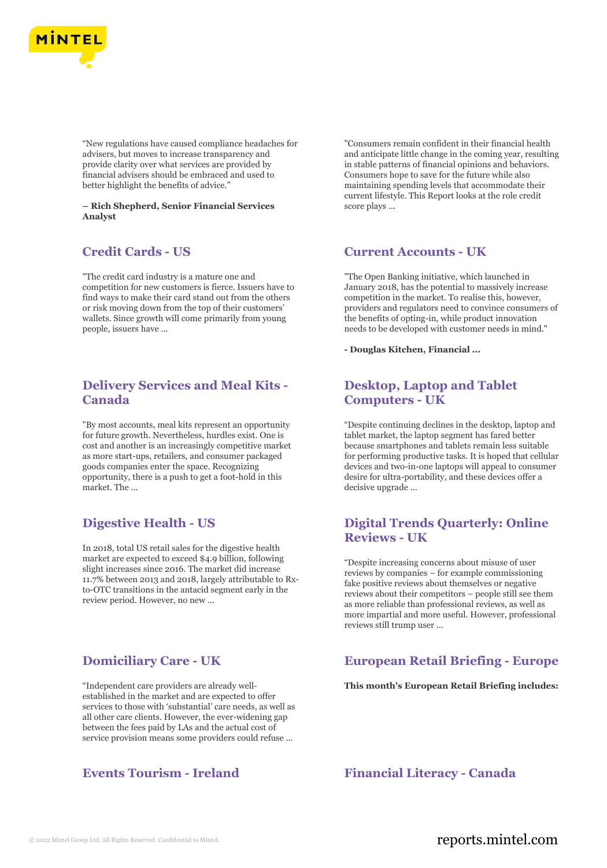

"New regulations have caused compliance headaches for advisers, but moves to increase transparency and provide clarity over what services are provided by financial advisers should be embraced and used to better highlight the benefits of advice."

**– Rich Shepherd, Senior Financial Services Analyst**

## **Credit Cards - US**

"The credit card industry is a mature one and competition for new customers is fierce. Issuers have to find ways to make their card stand out from the others or risk moving down from the top of their customers' wallets. Since growth will come primarily from young people, issuers have ...

## **Delivery Services and Meal Kits - Canada**

"By most accounts, meal kits represent an opportunity for future growth. Nevertheless, hurdles exist. One is cost and another is an increasingly competitive market as more start-ups, retailers, and consumer packaged goods companies enter the space. Recognizing opportunity, there is a push to get a foot-hold in this market. The ...

## **Digestive Health - US**

In 2018, total US retail sales for the digestive health market are expected to exceed \$4.9 billion, following slight increases since 2016. The market did increase 11.7% between 2013 and 2018, largely attributable to Rxto-OTC transitions in the antacid segment early in the review period. However, no new ...

## **Domiciliary Care - UK**

"Independent care providers are already wellestablished in the market and are expected to offer services to those with 'substantial' care needs, as well as all other care clients. However, the ever-widening gap between the fees paid by LAs and the actual cost of service provision means some providers could refuse ...

"Consumers remain confident in their financial health and anticipate little change in the coming year, resulting in stable patterns of financial opinions and behaviors. Consumers hope to save for the future while also maintaining spending levels that accommodate their current lifestyle. This Report looks at the role credit score plays ...

#### **Current Accounts - UK**

"The Open Banking initiative, which launched in January 2018, has the potential to massively increase competition in the market. To realise this, however, providers and regulators need to convince consumers of the benefits of opting-in, while product innovation needs to be developed with customer needs in mind."

**- Douglas Kitchen, Financial ...**

## **Desktop, Laptop and Tablet Computers - UK**

"Despite continuing declines in the desktop, laptop and tablet market, the laptop segment has fared better because smartphones and tablets remain less suitable for performing productive tasks. It is hoped that cellular devices and two-in-one laptops will appeal to consumer desire for ultra-portability, and these devices offer a decisive upgrade ...

### **Digital Trends Quarterly: Online Reviews - UK**

"Despite increasing concerns about misuse of user reviews by companies – for example commissioning fake positive reviews about themselves or negative reviews about their competitors – people still see them as more reliable than professional reviews, as well as more impartial and more useful. However, professional reviews still trump user ...

## **European Retail Briefing - Europe**

**This month's European Retail Briefing includes:**

**Events Tourism - Ireland Financial Literacy - Canada**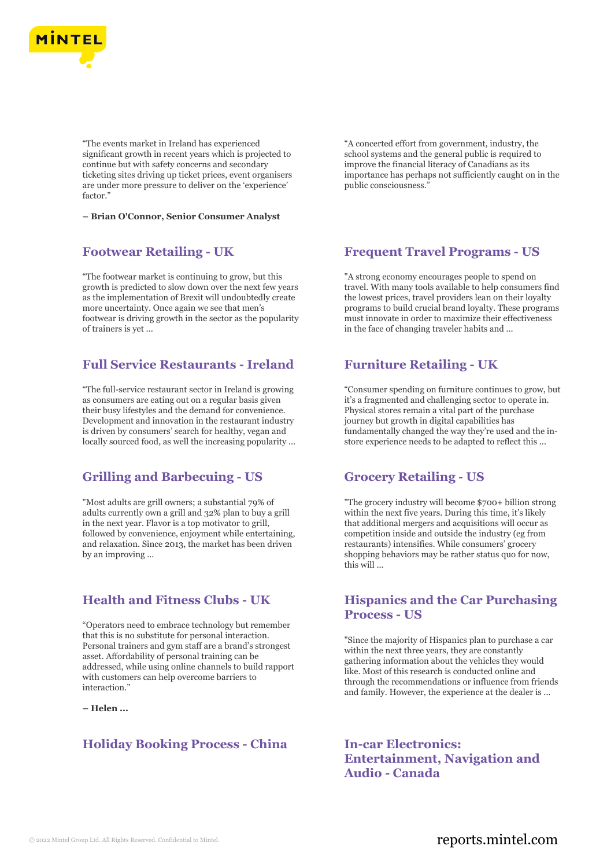

"The events market in Ireland has experienced significant growth in recent years which is projected to continue but with safety concerns and secondary ticketing sites driving up ticket prices, event organisers are under more pressure to deliver on the 'experience' factor."

**– Brian O'Connor, Senior Consumer Analyst**

#### **Footwear Retailing - UK**

"The footwear market is continuing to grow, but this growth is predicted to slow down over the next few years as the implementation of Brexit will undoubtedly create more uncertainty. Once again we see that men's footwear is driving growth in the sector as the popularity of trainers is yet ...

## **Full Service Restaurants - Ireland**

"The full-service restaurant sector in Ireland is growing as consumers are eating out on a regular basis given their busy lifestyles and the demand for convenience. Development and innovation in the restaurant industry is driven by consumers' search for healthy, vegan and locally sourced food, as well the increasing popularity ...

### **Grilling and Barbecuing - US**

"Most adults are grill owners; a substantial 79% of adults currently own a grill and 32% plan to buy a grill in the next year. Flavor is a top motivator to grill, followed by convenience, enjoyment while entertaining, and relaxation. Since 2013, the market has been driven by an improving ...

#### **Health and Fitness Clubs - UK**

"Operators need to embrace technology but remember that this is no substitute for personal interaction. Personal trainers and gym staff are a brand's strongest asset. Affordability of personal training can be addressed, while using online channels to build rapport with customers can help overcome barriers to interaction."

**– Helen ...**

### **Holiday Booking Process - China In-car Electronics:**

"A concerted effort from government, industry, the school systems and the general public is required to improve the financial literacy of Canadians as its importance has perhaps not sufficiently caught on in the public consciousness."

#### **Frequent Travel Programs - US**

"A strong economy encourages people to spend on travel. With many tools available to help consumers find the lowest prices, travel providers lean on their loyalty programs to build crucial brand loyalty. These programs must innovate in order to maximize their effectiveness in the face of changing traveler habits and ...

#### **Furniture Retailing - UK**

"Consumer spending on furniture continues to grow, but it's a fragmented and challenging sector to operate in. Physical stores remain a vital part of the purchase journey but growth in digital capabilities has fundamentally changed the way they're used and the instore experience needs to be adapted to reflect this ...

#### **Grocery Retailing - US**

"The grocery industry will become \$700+ billion strong within the next five years. During this time, it's likely that additional mergers and acquisitions will occur as competition inside and outside the industry (eg from restaurants) intensifies. While consumers' grocery shopping behaviors may be rather status quo for now, this will ...

#### **Hispanics and the Car Purchasing Process - US**

"Since the majority of Hispanics plan to purchase a car within the next three years, they are constantly gathering information about the vehicles they would like. Most of this research is conducted online and through the recommendations or influence from friends and family. However, the experience at the dealer is ...

**Entertainment, Navigation and Audio - Canada**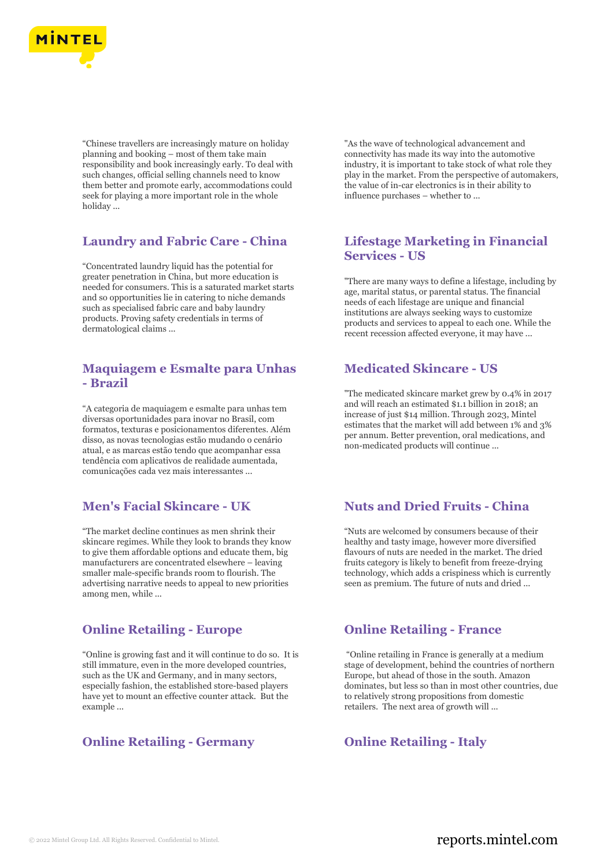

"Chinese travellers are increasingly mature on holiday planning and booking – most of them take main responsibility and book increasingly early. To deal with such changes, official selling channels need to know them better and promote early, accommodations could seek for playing a more important role in the whole holiday ...

## **Laundry and Fabric Care - China**

"Concentrated laundry liquid has the potential for greater penetration in China, but more education is needed for consumers. This is a saturated market starts and so opportunities lie in catering to niche demands such as specialised fabric care and baby laundry products. Proving safety credentials in terms of dermatological claims ...

## **Maquiagem e Esmalte para Unhas - Brazil**

"A categoria de maquiagem e esmalte para unhas tem diversas oportunidades para inovar no Brasil, com formatos, texturas e posicionamentos diferentes. Além disso, as novas tecnologias estão mudando o cenário atual, e as marcas estão tendo que acompanhar essa tendência com aplicativos de realidade aumentada, comunicações cada vez mais interessantes ...

## **Men's Facial Skincare - UK**

"The market decline continues as men shrink their skincare regimes. While they look to brands they know to give them affordable options and educate them, big manufacturers are concentrated elsewhere – leaving smaller male-specific brands room to flourish. The advertising narrative needs to appeal to new priorities among men, while ...

## **Online Retailing - Europe**

"Online is growing fast and it will continue to do so. It is still immature, even in the more developed countries, such as the UK and Germany, and in many sectors, especially fashion, the established store-based players have yet to mount an effective counter attack. But the example ...

## **Online Retailing - Germany <b>Concernent** Online Retailing - Italy

"As the wave of technological advancement and connectivity has made its way into the automotive industry, it is important to take stock of what role they play in the market. From the perspective of automakers, the value of in-car electronics is in their ability to influence purchases – whether to ...

## **Lifestage Marketing in Financial Services - US**

"There are many ways to define a lifestage, including by age, marital status, or parental status. The financial needs of each lifestage are unique and financial institutions are always seeking ways to customize products and services to appeal to each one. While the recent recession affected everyone, it may have ...

## **Medicated Skincare - US**

"The medicated skincare market grew by 0.4% in 2017 and will reach an estimated \$1.1 billion in 2018; an increase of just \$14 million. Through 2023, Mintel estimates that the market will add between 1% and 3% per annum. Better prevention, oral medications, and non-medicated products will continue ...

## **Nuts and Dried Fruits - China**

"Nuts are welcomed by consumers because of their healthy and tasty image, however more diversified flavours of nuts are needed in the market. The dried fruits category is likely to benefit from freeze-drying technology, which adds a crispiness which is currently seen as premium. The future of nuts and dried ...

### **Online Retailing - France**

"Online retailing in France is generally at a medium stage of development, behind the countries of northern Europe, but ahead of those in the south. Amazon dominates, but less so than in most other countries, due to relatively strong propositions from domestic retailers. The next area of growth will ...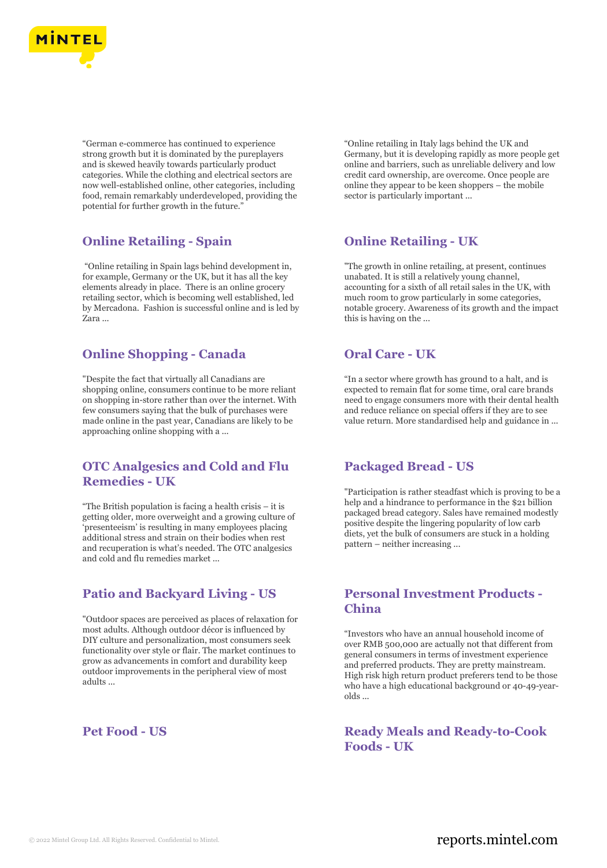

"German e-commerce has continued to experience strong growth but it is dominated by the pureplayers and is skewed heavily towards particularly product categories. While the clothing and electrical sectors are now well-established online, other categories, including food, remain remarkably underdeveloped, providing the potential for further growth in the future."

## **Online Retailing - Spain**

"Online retailing in Spain lags behind development in, for example, Germany or the UK, but it has all the key elements already in place. There is an online grocery retailing sector, which is becoming well established, led by Mercadona. Fashion is successful online and is led by Zara ...

## **Online Shopping - Canada**

"Despite the fact that virtually all Canadians are shopping online, consumers continue to be more reliant on shopping in-store rather than over the internet. With few consumers saying that the bulk of purchases were made online in the past year, Canadians are likely to be approaching online shopping with a ...

## **OTC Analgesics and Cold and Flu Remedies - UK**

"The British population is facing a health crisis – it is getting older, more overweight and a growing culture of 'presenteeism' is resulting in many employees placing additional stress and strain on their bodies when rest and recuperation is what's needed. The OTC analgesics and cold and flu remedies market ...

## **Patio and Backyard Living - US**

"Outdoor spaces are perceived as places of relaxation for most adults. Although outdoor décor is influenced by DIY culture and personalization, most consumers seek functionality over style or flair. The market continues to grow as advancements in comfort and durability keep outdoor improvements in the peripheral view of most adults ...

"Online retailing in Italy lags behind the UK and Germany, but it is developing rapidly as more people get online and barriers, such as unreliable delivery and low credit card ownership, are overcome. Once people are online they appear to be keen shoppers – the mobile sector is particularly important ...

## **Online Retailing - UK**

"The growth in online retailing, at present, continues unabated. It is still a relatively young channel, accounting for a sixth of all retail sales in the UK, with much room to grow particularly in some categories, notable grocery. Awareness of its growth and the impact this is having on the ...

## **Oral Care - UK**

"In a sector where growth has ground to a halt, and is expected to remain flat for some time, oral care brands need to engage consumers more with their dental health and reduce reliance on special offers if they are to see value return. More standardised help and guidance in ...

## **Packaged Bread - US**

"Participation is rather steadfast which is proving to be a help and a hindrance to performance in the \$21 billion packaged bread category. Sales have remained modestly positive despite the lingering popularity of low carb diets, yet the bulk of consumers are stuck in a holding pattern – neither increasing ...

## **Personal Investment Products - China**

"Investors who have an annual household income of over RMB 500,000 are actually not that different from general consumers in terms of investment experience and preferred products. They are pretty mainstream. High risk high return product preferers tend to be those who have a high educational background or 40-49-yearolds ...

**Pet Food - US Ready Meals and Ready-to-Cook Foods - UK**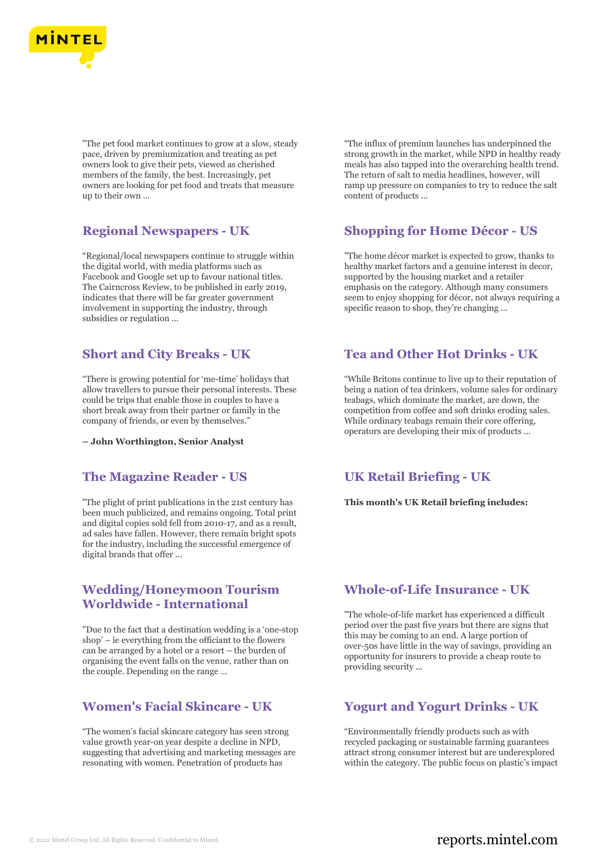

"The pet food market continues to grow at a slow, steady pace, driven by premiumization and treating as pet owners look to give their pets, viewed as cherished members of the family, the best. Increasingly, pet owners are looking for pet food and treats that measure up to their own ...

## **Regional Newspapers - UK**

"Regional/local newspapers continue to struggle within the digital world, with media platforms such as Facebook and Google set up to favour national titles. The Cairncross Review, to be published in early 2019, indicates that there will be far greater government involvement in supporting the industry, through subsidies or regulation ...

## **Short and City Breaks - UK**

"There is growing potential for 'me-time' holidays that allow travellers to pursue their personal interests. These could be trips that enable those in couples to have a short break away from their partner or family in the company of friends, or even by themselves."

**– John Worthington, Senior Analyst**

### **The Magazine Reader - US**

"The plight of print publications in the 21st century has been much publicized, and remains ongoing. Total print and digital copies sold fell from 2010-17, and as a result, ad sales have fallen. However, there remain bright spots for the industry, including the successful emergence of digital brands that offer ...

## **Wedding/Honeymoon Tourism Worldwide - International**

"Due to the fact that a destination wedding is a 'one-stop shop' – ie everything from the officiant to the flowers can be arranged by a hotel or a resort – the burden of organising the event falls on the venue, rather than on the couple. Depending on the range ...

## **Women's Facial Skincare - UK**

"The women's facial skincare category has seen strong value growth year-on year despite a decline in NPD, suggesting that advertising and marketing messages are resonating with women. Penetration of products has

"The influx of premium launches has underpinned the strong growth in the market, while NPD in healthy ready meals has also tapped into the overarching health trend. The return of salt to media headlines, however, will ramp up pressure on companies to try to reduce the salt content of products ...

### **Shopping for Home Décor - US**

"The home décor market is expected to grow, thanks to healthy market factors and a genuine interest in decor, supported by the housing market and a retailer emphasis on the category. Although many consumers seem to enjoy shopping for décor, not always requiring a specific reason to shop, they're changing ...

#### **Tea and Other Hot Drinks - UK**

"While Britons continue to live up to their reputation of being a nation of tea drinkers, volume sales for ordinary teabags, which dominate the market, are down, the competition from coffee and soft drinks eroding sales. While ordinary teabags remain their core offering, operators are developing their mix of products ...

### **UK Retail Briefing - UK**

**This month's UK Retail briefing includes:**

### **Whole-of-Life Insurance - UK**

"The whole-of-life market has experienced a difficult period over the past five years but there are signs that this may be coming to an end. A large portion of over-50s have little in the way of savings, providing an opportunity for insurers to provide a cheap route to providing security ...

## **Yogurt and Yogurt Drinks - UK**

"Environmentally friendly products such as with recycled packaging or sustainable farming guarantees attract strong consumer interest but are underexplored within the category. The public focus on plastic's impact